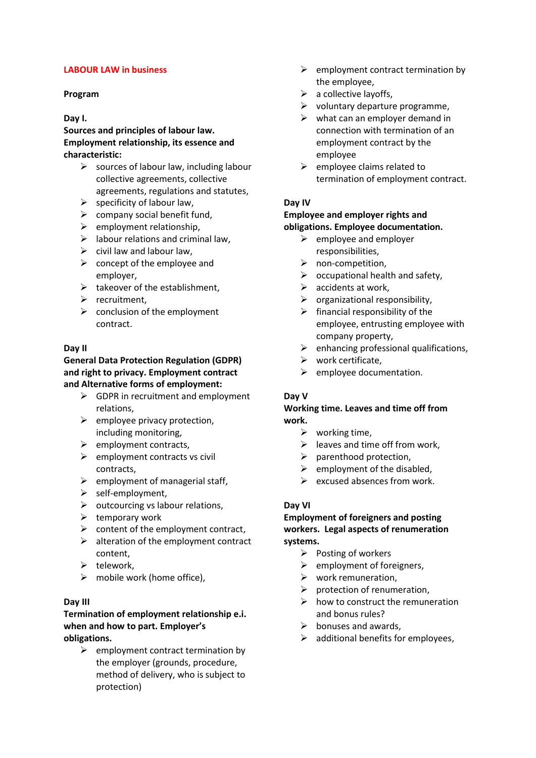# **LABOUR LAW in business**

## **Program**

#### **Day I.**

# **Sources and principles of labour law. Employment relationship, its essence and characteristic:**

- $\triangleright$  sources of labour law, including labour collective agreements, collective agreements, regulations and statutes,
- $\triangleright$  specificity of labour law,
- $\triangleright$  company social benefit fund.
- $\triangleright$  employment relationship,
- $\triangleright$  labour relations and criminal law,
- $\triangleright$  civil law and labour law,
- $\triangleright$  concept of the employee and employer,
- $\triangleright$  takeover of the establishment,
- ➢ recruitment,
- $\triangleright$  conclusion of the employment contract.

## **Day II**

# **General Data Protection Regulation (GDPR) and right to privacy. Employment contract and Alternative forms of employment:**

- $\triangleright$  GDPR in recruitment and employment relations,
- $\triangleright$  employee privacy protection, including monitoring,
- $\triangleright$  employment contracts,
- $\triangleright$  employment contracts vs civil contracts,
- $\triangleright$  employment of managerial staff,
- ➢ self-employment,
- $\triangleright$  outcourcing vs labour relations,
- $\triangleright$  temporary work
- $\triangleright$  content of the employment contract,
- $\triangleright$  alteration of the employment contract content,
- $\triangleright$  telework,
- $\triangleright$  mobile work (home office),

## **Day III**

#### **Termination of employment relationship e.i. when and how to part. Employer's obligations.**

 $\triangleright$  employment contract termination by the employer (grounds, procedure, method of delivery, who is subject to protection)

- $\triangleright$  employment contract termination by the employee,
- $\triangleright$  a collective layoffs,
- $\triangleright$  voluntary departure programme,
- $\triangleright$  what can an employer demand in connection with termination of an employment contract by the employee
- $\triangleright$  employee claims related to termination of employment contract.

# **Day IV**

#### **Employee and employer rights and obligations. Employee documentation.**

- $\triangleright$  employee and employer responsibilities,
- ➢ non-competition,
- $\triangleright$  occupational health and safety,
- $\triangleright$  accidents at work,
- $\triangleright$  organizational responsibility,
- $\triangleright$  financial responsibility of the employee, entrusting employee with company property,
- $\triangleright$  enhancing professional qualifications,
- ➢ work certificate,
- $\triangleright$  employee documentation.

## **Day V**

# **Working time. Leaves and time off from work.**

- $\triangleright$  working time,
- $\triangleright$  leaves and time off from work,
- $\triangleright$  parenthood protection,
- $\triangleright$  employment of the disabled.
- ➢ excused absences from work.

## **Day VI**

# **Employment of foreigners and posting workers. Legal aspects of renumeration systems.**

- ➢ Posting of workers
- ➢ employment of foreigners,
- $\triangleright$  work remuneration,
- $\triangleright$  protection of renumeration,
- $\triangleright$  how to construct the remuneration and bonus rules?
- $\triangleright$  bonuses and awards.
- $\triangleright$  additional benefits for employees,